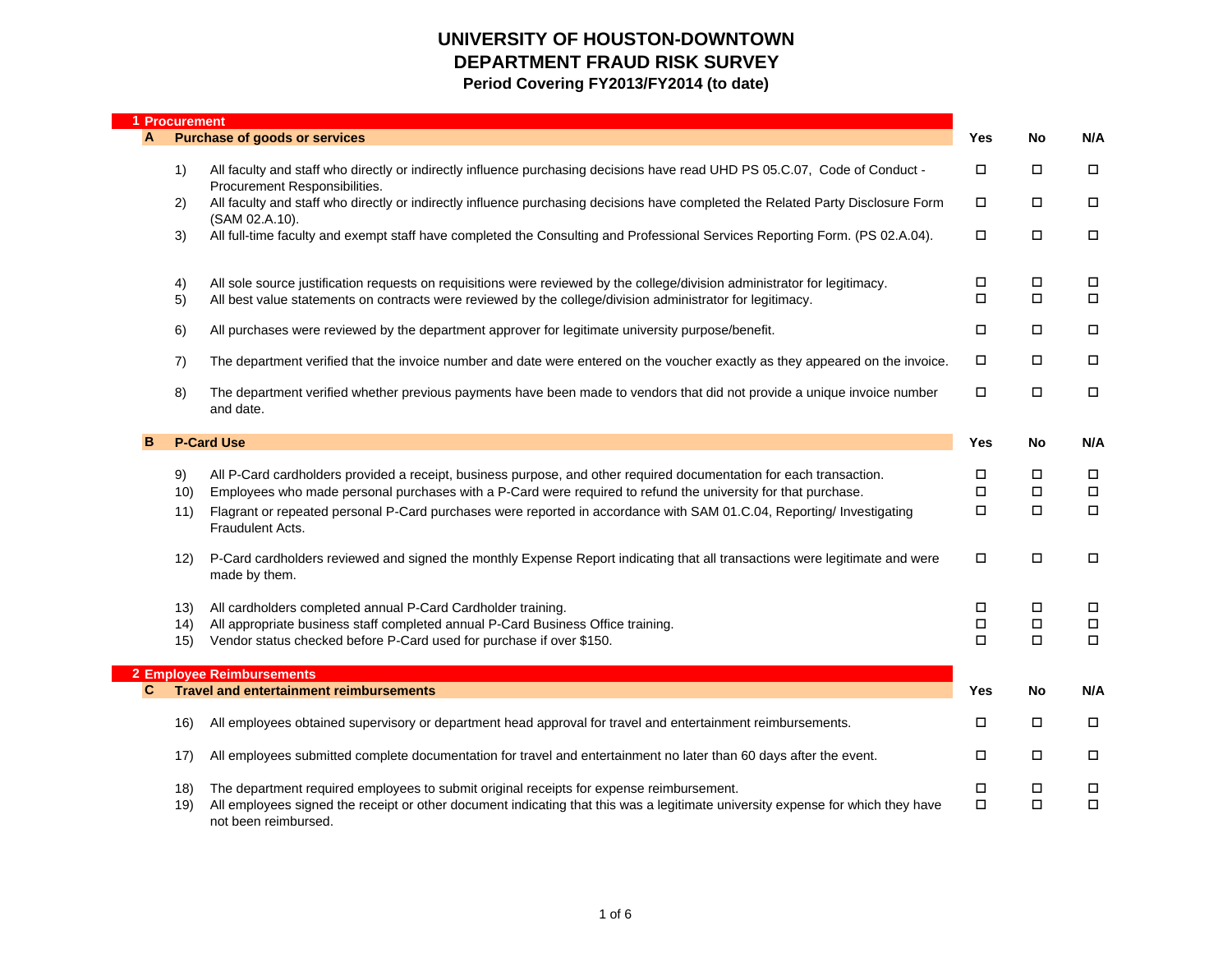| <b>Procurement</b> |                                                                                                                                                                                                                                                     |                  |                  |                  |
|--------------------|-----------------------------------------------------------------------------------------------------------------------------------------------------------------------------------------------------------------------------------------------------|------------------|------------------|------------------|
| A                  | <b>Purchase of goods or services</b>                                                                                                                                                                                                                | Yes              | No               | N/A              |
| 1)                 | All faculty and staff who directly or indirectly influence purchasing decisions have read UHD PS 05.C.07, Code of Conduct -<br>Procurement Responsibilities.                                                                                        | $\Box$           | $\Box$           | $\Box$           |
| 2)                 | All faculty and staff who directly or indirectly influence purchasing decisions have completed the Related Party Disclosure Form<br>(SAM 02.A.10).                                                                                                  | $\Box$           | П                | $\Box$           |
| 3)                 | All full-time faculty and exempt staff have completed the Consulting and Professional Services Reporting Form. (PS 02.A.04).                                                                                                                        | $\Box$           | $\Box$           | $\Box$           |
| 4)                 | All sole source justification requests on requisitions were reviewed by the college/division administrator for legitimacy.                                                                                                                          | $\Box$<br>$\Box$ | $\Box$<br>$\Box$ | $\Box$<br>$\Box$ |
| 5)                 | All best value statements on contracts were reviewed by the college/division administrator for legitimacy.                                                                                                                                          |                  |                  |                  |
| 6)                 | All purchases were reviewed by the department approver for legitimate university purpose/benefit.                                                                                                                                                   | $\Box$           | □                | $\Box$           |
| 7)                 | The department verified that the invoice number and date were entered on the voucher exactly as they appeared on the invoice.                                                                                                                       | $\Box$           | П                | $\Box$           |
| 8)                 | The department verified whether previous payments have been made to vendors that did not provide a unique invoice number<br>and date.                                                                                                               | $\Box$           | П                | $\Box$           |
|                    | <b>P-Card Use</b>                                                                                                                                                                                                                                   | Yes              | No               | N/A              |
| 9)                 | All P-Card cardholders provided a receipt, business purpose, and other required documentation for each transaction.                                                                                                                                 | $\Box$           | П                | $\Box$           |
| 10)                | Employees who made personal purchases with a P-Card were required to refund the university for that purchase.                                                                                                                                       | $\Box$           | $\Box$           | $\Box$           |
| 11)                | Flagrant or repeated personal P-Card purchases were reported in accordance with SAM 01.C.04, Reporting/ Investigating<br>Fraudulent Acts.                                                                                                           | $\Box$           | $\Box$           | $\Box$           |
| 12)                | P-Card cardholders reviewed and signed the monthly Expense Report indicating that all transactions were legitimate and were<br>made by them.                                                                                                        | $\Box$           | $\Box$           | $\Box$           |
| 13)                | All cardholders completed annual P-Card Cardholder training.                                                                                                                                                                                        | $\Box$           | $\Box$           | $\Box$           |
| (14)<br>15)        | All appropriate business staff completed annual P-Card Business Office training.<br>Vendor status checked before P-Card used for purchase if over \$150.                                                                                            | $\Box$<br>$\Box$ | $\Box$<br>$\Box$ | $\Box$<br>$\Box$ |
|                    | <b>2 Employee Reimbursements</b>                                                                                                                                                                                                                    |                  |                  |                  |
|                    | <b>Travel and entertainment reimbursements</b>                                                                                                                                                                                                      | Yes              | No               | N/A              |
| 16)                | All employees obtained supervisory or department head approval for travel and entertainment reimbursements.                                                                                                                                         | $\Box$           | $\Box$           | $\Box$           |
| 17)                | All employees submitted complete documentation for travel and entertainment no later than 60 days after the event.                                                                                                                                  | $\Box$           | П                | $\Box$           |
| 18)<br>19)         | The department required employees to submit original receipts for expense reimbursement.<br>All employees signed the receipt or other document indicating that this was a legitimate university expense for which they have<br>not been reimbursed. | $\Box$<br>$\Box$ | $\Box$<br>$\Box$ | $\Box$<br>$\Box$ |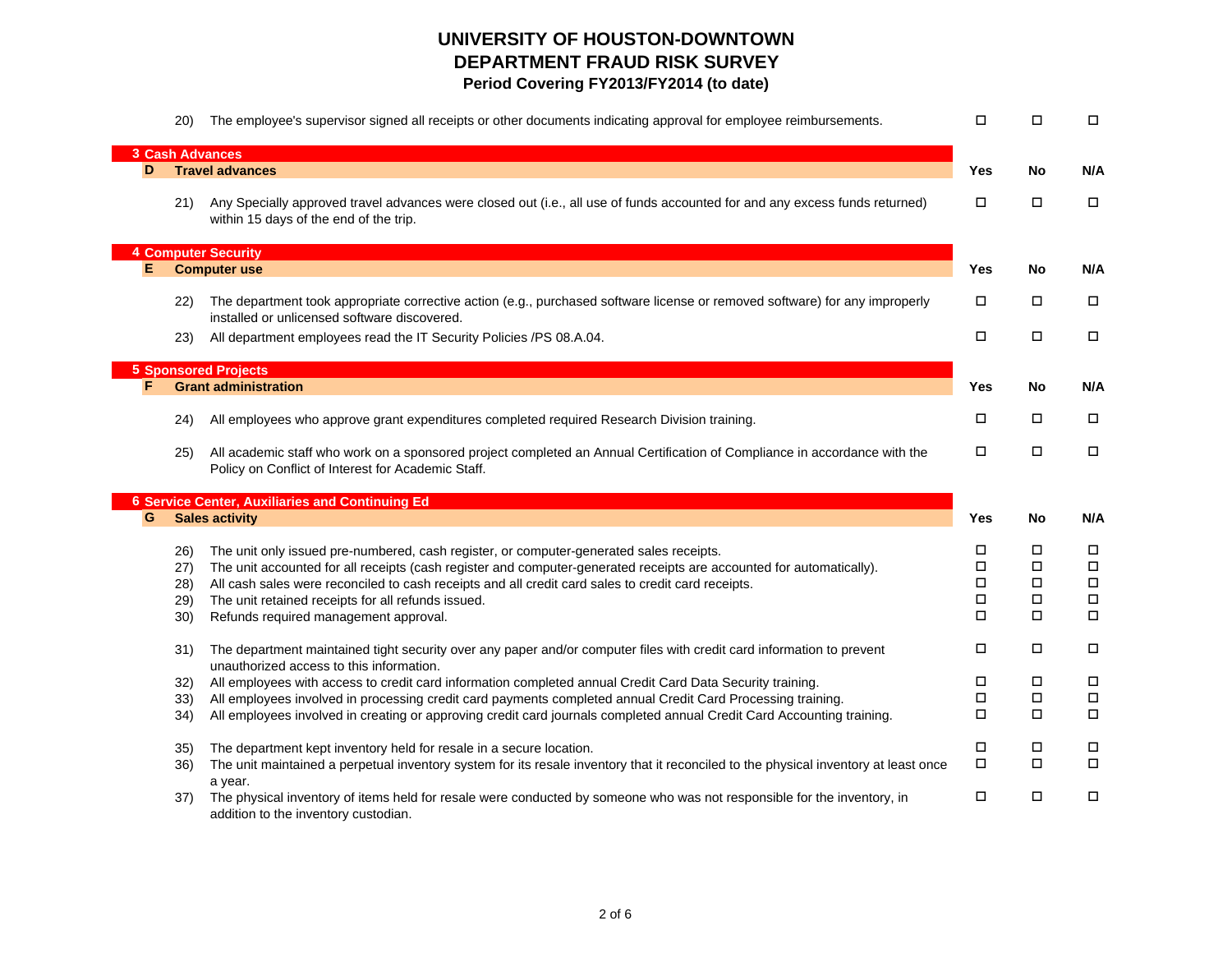|   | 20) | The employee's supervisor signed all receipts or other documents indicating approval for employee reimbursements.                                                               | П      | $\Box$ | $\Box$ |
|---|-----|---------------------------------------------------------------------------------------------------------------------------------------------------------------------------------|--------|--------|--------|
|   |     | <b>3 Cash Advances</b>                                                                                                                                                          |        |        |        |
| D |     | <b>Travel advances</b>                                                                                                                                                          | Yes    | No     | N/A    |
|   | 21) | Any Specially approved travel advances were closed out (i.e., all use of funds accounted for and any excess funds returned)<br>within 15 days of the end of the trip.           | П      | □      | $\Box$ |
|   |     | <b>4 Computer Security</b>                                                                                                                                                      |        |        |        |
| Е |     | <b>Computer use</b>                                                                                                                                                             | Yes    | No     | N/A    |
|   | 22) | The department took appropriate corrective action (e.g., purchased software license or removed software) for any improperly<br>installed or unlicensed software discovered.     | П      | $\Box$ | $\Box$ |
|   | 23) | All department employees read the IT Security Policies /PS 08.A.04.                                                                                                             | П      | $\Box$ | $\Box$ |
|   |     | <b>5 Sponsored Projects</b>                                                                                                                                                     |        |        |        |
|   |     | <b>Grant administration</b>                                                                                                                                                     | Yes    | No     | N/A    |
|   |     |                                                                                                                                                                                 |        |        |        |
|   | 24) | All employees who approve grant expenditures completed required Research Division training.                                                                                     | □      | $\Box$ | $\Box$ |
|   | 25) | All academic staff who work on a sponsored project completed an Annual Certification of Compliance in accordance with the<br>Policy on Conflict of Interest for Academic Staff. | $\Box$ | $\Box$ | $\Box$ |
|   |     | <b>6 Service Center, Auxiliaries and Continuing Ed</b>                                                                                                                          |        |        |        |
| G |     | <b>Sales activity</b>                                                                                                                                                           | Yes    | No     | N/A    |
|   | 26) | The unit only issued pre-numbered, cash register, or computer-generated sales receipts.                                                                                         | П      | П      | $\Box$ |
|   | 27) | The unit accounted for all receipts (cash register and computer-generated receipts are accounted for automatically).                                                            | П      | $\Box$ | $\Box$ |
|   | 28) | All cash sales were reconciled to cash receipts and all credit card sales to credit card receipts.                                                                              | $\Box$ | $\Box$ | $\Box$ |
|   | 29) | The unit retained receipts for all refunds issued.                                                                                                                              | П      | $\Box$ | $\Box$ |
|   | 30) | Refunds required management approval.                                                                                                                                           | $\Box$ | $\Box$ | $\Box$ |
|   | 31) | The department maintained tight security over any paper and/or computer files with credit card information to prevent<br>unauthorized access to this information.               | $\Box$ | $\Box$ | $\Box$ |
|   | 32) | All employees with access to credit card information completed annual Credit Card Data Security training.                                                                       | П      | $\Box$ | $\Box$ |
|   | 33) | All employees involved in processing credit card payments completed annual Credit Card Processing training.                                                                     | $\Box$ | $\Box$ | $\Box$ |
|   | 34) | All employees involved in creating or approving credit card journals completed annual Credit Card Accounting training.                                                          | П      | $\Box$ | $\Box$ |
|   | 35) | The department kept inventory held for resale in a secure location.                                                                                                             | $\Box$ | □      | $\Box$ |
|   | 36) | The unit maintained a perpetual inventory system for its resale inventory that it reconciled to the physical inventory at least once                                            | $\Box$ | $\Box$ | $\Box$ |
|   | 37) | a year.<br>The physical inventory of items held for resale were conducted by someone who was not responsible for the inventory, in<br>addition to the inventory custodian.      | $\Box$ | $\Box$ | $\Box$ |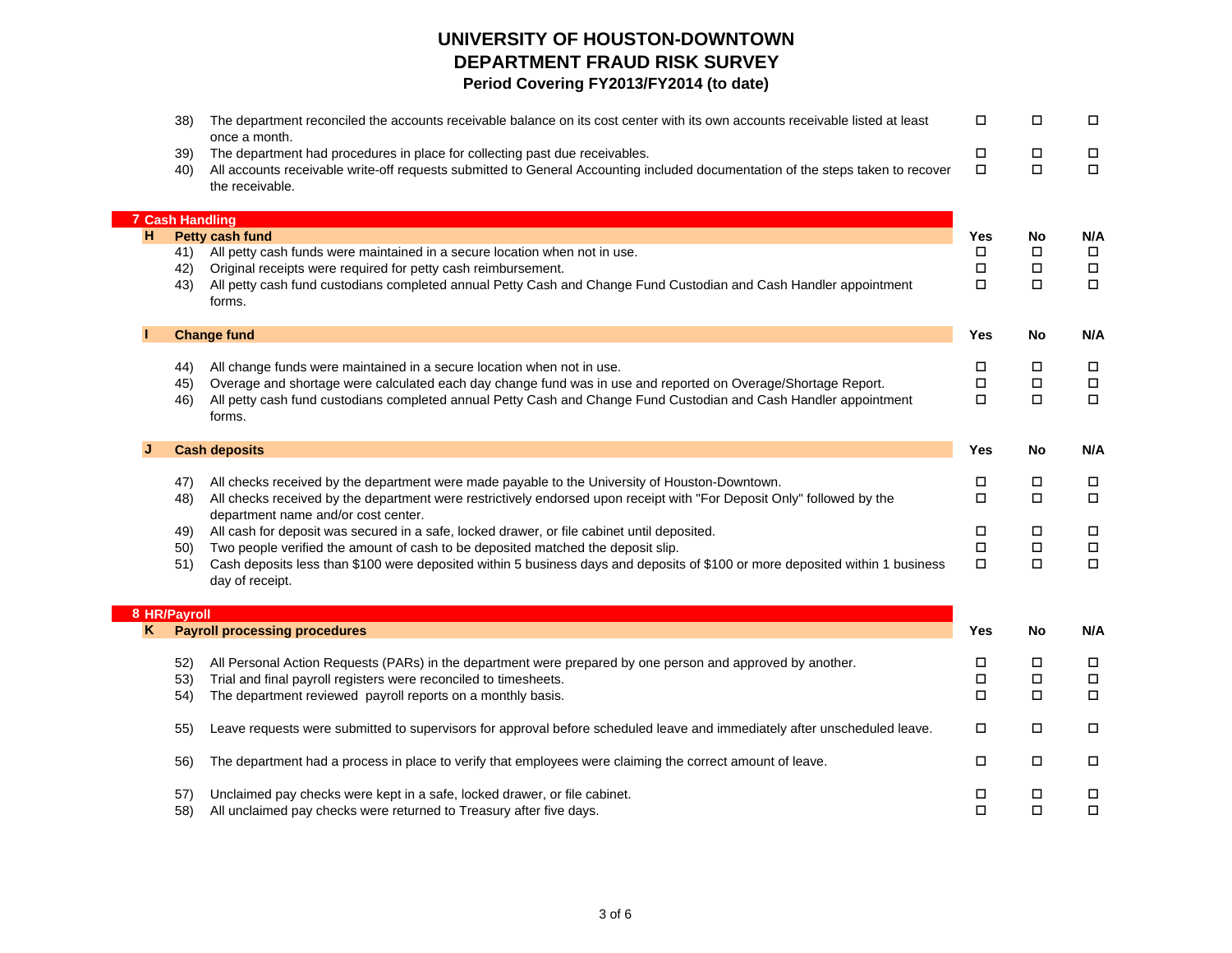|   | 38)                    | The department reconciled the accounts receivable balance on its cost center with its own accounts receivable listed at least                                                                                                                      | □                | □                | $\Box$           |
|---|------------------------|----------------------------------------------------------------------------------------------------------------------------------------------------------------------------------------------------------------------------------------------------|------------------|------------------|------------------|
|   | 39)<br>40)             | once a month.<br>The department had procedures in place for collecting past due receivables.<br>All accounts receivable write-off requests submitted to General Accounting included documentation of the steps taken to recover<br>the receivable. | $\Box$<br>$\Box$ | П<br>$\Box$      | $\Box$<br>$\Box$ |
|   | <b>7 Cash Handling</b> |                                                                                                                                                                                                                                                    |                  |                  |                  |
| н |                        | Petty cash fund                                                                                                                                                                                                                                    | Yes              | No               | N/A              |
|   | 41)                    | All petty cash funds were maintained in a secure location when not in use.                                                                                                                                                                         | $\Box$           | П                | $\Box$           |
|   | 42)<br>43)             | Original receipts were required for petty cash reimbursement.<br>All petty cash fund custodians completed annual Petty Cash and Change Fund Custodian and Cash Handler appointment<br>forms.                                                       | □<br>$\Box$      | $\Box$<br>$\Box$ | $\Box$<br>$\Box$ |
|   |                        | <b>Change fund</b>                                                                                                                                                                                                                                 | Yes              | No               | N/A              |
|   | 44)                    | All change funds were maintained in a secure location when not in use.                                                                                                                                                                             | Ц                | Ц                | $\Box$           |
|   | 45)                    | Overage and shortage were calculated each day change fund was in use and reported on Overage/Shortage Report.                                                                                                                                      | $\Box$           | $\Box$           | $\Box$           |
|   | 46)                    | All petty cash fund custodians completed annual Petty Cash and Change Fund Custodian and Cash Handler appointment<br>forms.                                                                                                                        | $\Box$           | $\Box$           | $\Box$           |
|   |                        | <b>Cash deposits</b>                                                                                                                                                                                                                               | Yes              | No               | N/A              |
|   | 47)                    | All checks received by the department were made payable to the University of Houston-Downtown.                                                                                                                                                     | П                | П                | $\Box$           |
|   | 48)                    | All checks received by the department were restrictively endorsed upon receipt with "For Deposit Only" followed by the                                                                                                                             | □                | □                | $\Box$           |
|   |                        | department name and/or cost center.                                                                                                                                                                                                                |                  |                  |                  |
|   | 49)                    | All cash for deposit was secured in a safe, locked drawer, or file cabinet until deposited.                                                                                                                                                        | П                | П                | $\Box$           |
|   | 50)                    | Two people verified the amount of cash to be deposited matched the deposit slip.                                                                                                                                                                   | $\Box$           | $\Box$           | $\Box$           |
|   | 51)                    | Cash deposits less than \$100 were deposited within 5 business days and deposits of \$100 or more deposited within 1 business<br>day of receipt.                                                                                                   | □                | $\Box$           | $\Box$           |
|   | 8 HR/Payroll           |                                                                                                                                                                                                                                                    |                  |                  |                  |
|   |                        | <b>Payroll processing procedures</b>                                                                                                                                                                                                               | Yes              | No               | N/A              |
|   | 52)                    | All Personal Action Requests (PARs) in the department were prepared by one person and approved by another.                                                                                                                                         | П                | П                | $\Box$           |
|   | 53)                    | Trial and final payroll registers were reconciled to timesheets.                                                                                                                                                                                   | $\Box$           | □                | $\Box$           |
|   | 54)                    | The department reviewed payroll reports on a monthly basis.                                                                                                                                                                                        | □                | $\Box$           | $\Box$           |
|   |                        | Leave requests were submitted to supervisors for approval before scheduled leave and immediately after unscheduled leave.                                                                                                                          | $\Box$           | □                | $\Box$           |
|   | 55)                    |                                                                                                                                                                                                                                                    |                  |                  |                  |
|   | 56)                    | The department had a process in place to verify that employees were claiming the correct amount of leave.                                                                                                                                          | □                | □                | $\Box$           |
|   | 57)                    | Unclaimed pay checks were kept in a safe, locked drawer, or file cabinet.                                                                                                                                                                          | П                | П                | $\Box$           |

 $\mathbb{R}^n$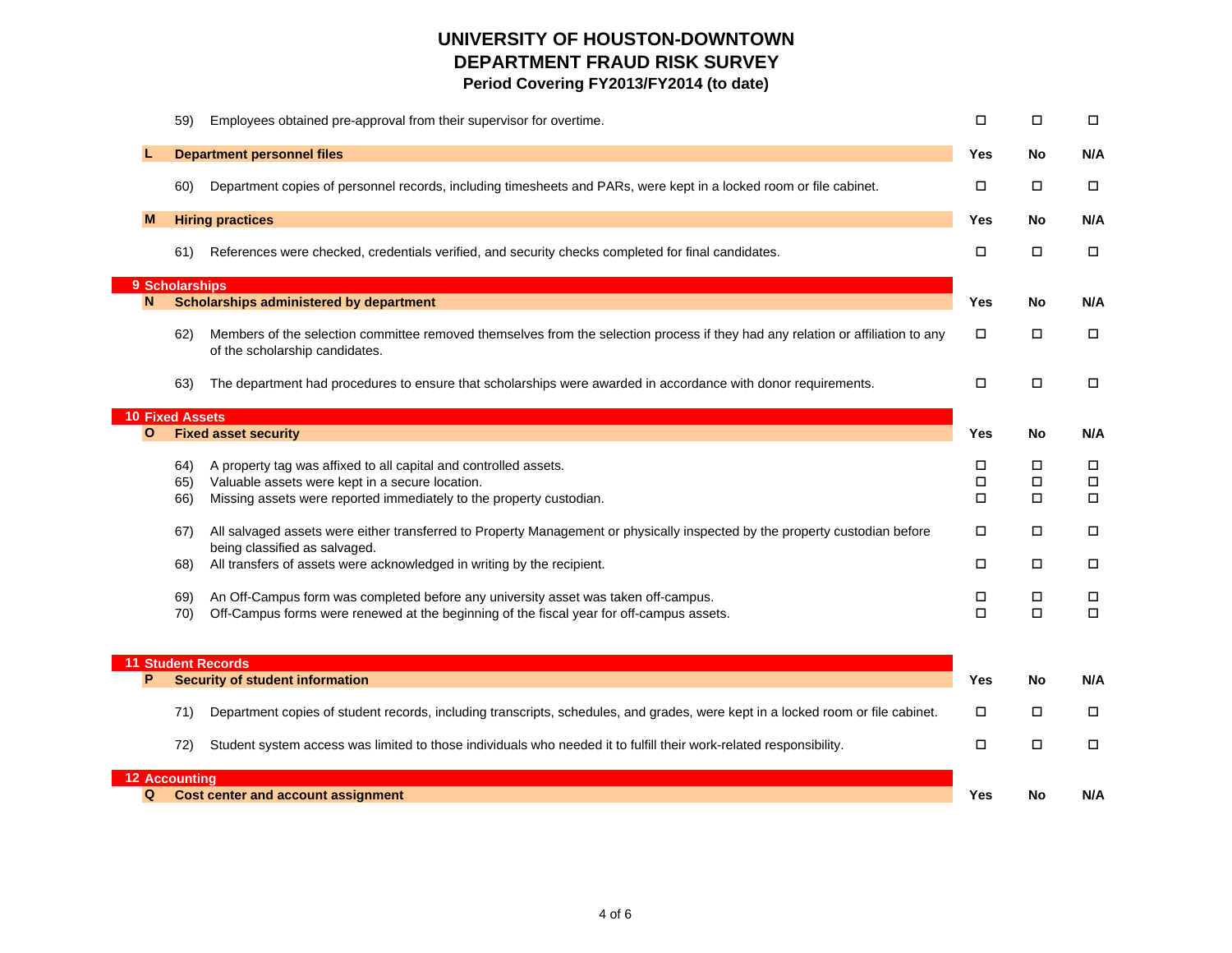|              | Employees obtained pre-approval from their supervisor for overtime.<br>59)                                                                                               | □           | $\Box$           | $\Box$           |
|--------------|--------------------------------------------------------------------------------------------------------------------------------------------------------------------------|-------------|------------------|------------------|
|              | <b>Department personnel files</b>                                                                                                                                        | Yes         | No               | N/A              |
|              | Department copies of personnel records, including timesheets and PARs, were kept in a locked room or file cabinet.<br>60)                                                | □           | $\Box$           | $\Box$           |
| м            | <b>Hiring practices</b>                                                                                                                                                  | Yes         | No               | N/A              |
|              | References were checked, credentials verified, and security checks completed for final candidates.<br>61)                                                                | □           | $\Box$           | $\Box$           |
|              | 9 Scholarships                                                                                                                                                           |             |                  |                  |
| N            | <b>Scholarships administered by department</b>                                                                                                                           | Yes         | No               | N/A              |
|              | Members of the selection committee removed themselves from the selection process if they had any relation or affiliation to any<br>62)<br>of the scholarship candidates. | □           | $\Box$           | $\Box$           |
|              | The department had procedures to ensure that scholarships were awarded in accordance with donor requirements.<br>63)                                                     | $\Box$      | $\Box$           | $\Box$           |
|              | <b>10 Fixed Assets</b>                                                                                                                                                   |             |                  |                  |
| $\mathbf{o}$ | <b>Fixed asset security</b>                                                                                                                                              | Yes         | No               | N/A              |
|              | A property tag was affixed to all capital and controlled assets.<br>64)<br>Valuable assets were kept in a secure location.<br>65)                                        | □<br>$\Box$ | $\Box$<br>$\Box$ | $\Box$<br>$\Box$ |
|              | Missing assets were reported immediately to the property custodian.<br>66)                                                                                               | $\Box$      | $\Box$           | $\Box$           |
|              | All salvaged assets were either transferred to Property Management or physically inspected by the property custodian before<br>67)<br>being classified as salvaged.      | □           | □                | $\Box$           |
|              | All transfers of assets were acknowledged in writing by the recipient.<br>68)                                                                                            | □           | □                | $\Box$           |
|              | An Off-Campus form was completed before any university asset was taken off-campus.<br>69)                                                                                | □           | $\Box$           | $\Box$           |
|              | Off-Campus forms were renewed at the beginning of the fiscal year for off-campus assets.<br>70)                                                                          | О           | $\Box$           | $\Box$           |
|              | <b>11 Student Records</b>                                                                                                                                                |             |                  |                  |
| P            | <b>Security of student information</b>                                                                                                                                   | Yes         | No               | N/A              |
|              | Department copies of student records, including transcripts, schedules, and grades, were kept in a locked room or file cabinet.<br>71)                                   | □           | $\Box$           | $\Box$           |
|              | Student system access was limited to those individuals who needed it to fulfill their work-related responsibility.<br>72)                                                | □           | $\Box$           | $\Box$           |
|              | <b>12 Accounting</b>                                                                                                                                                     |             |                  |                  |
| Q            | Cost center and account assignment                                                                                                                                       | Yes         | No               | N/A              |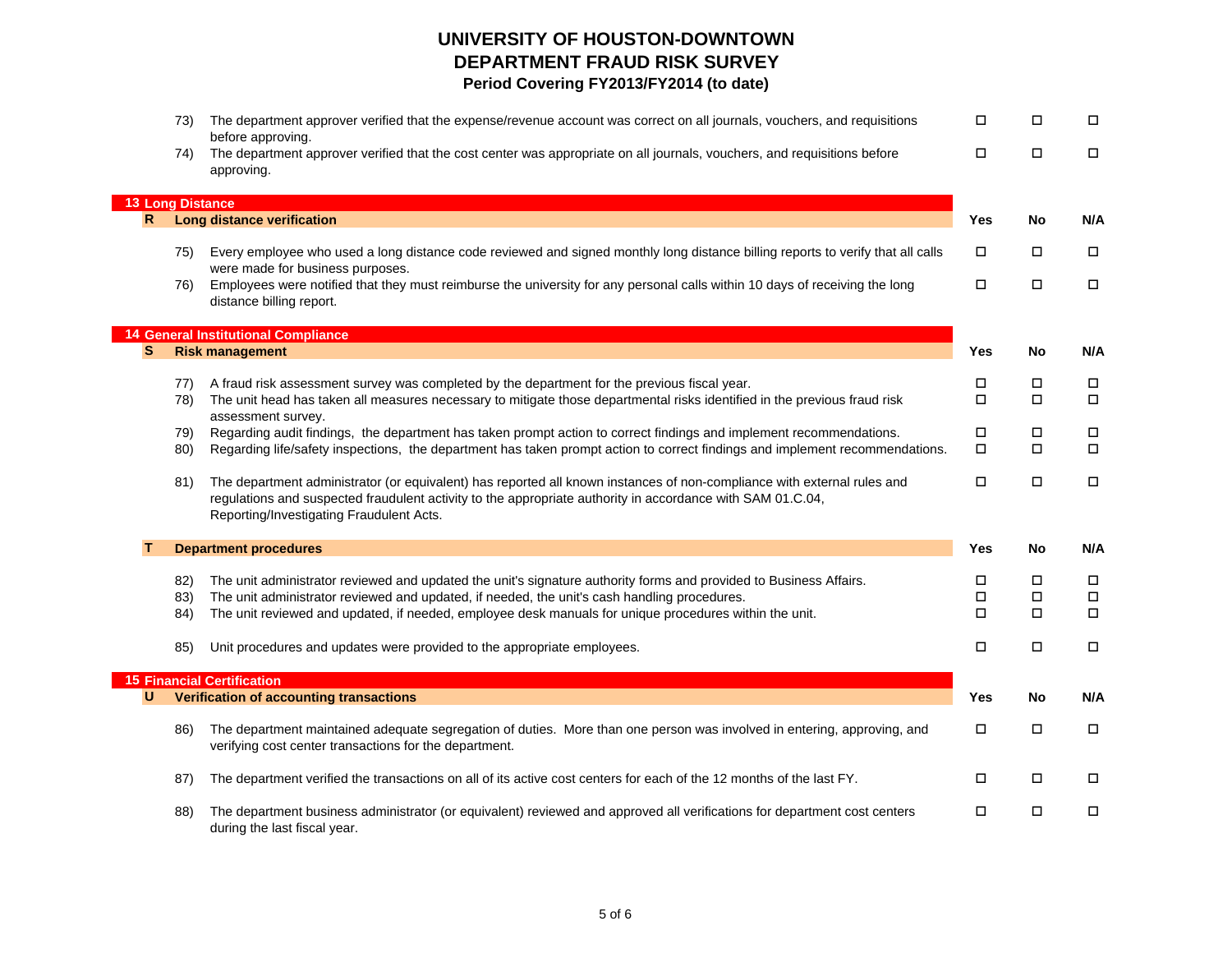|                         | 73) | The department approver verified that the expense/revenue account was correct on all journals, vouchers, and requisitions                                                                                                                                                         | П      | $\Box$ | $\Box$ |
|-------------------------|-----|-----------------------------------------------------------------------------------------------------------------------------------------------------------------------------------------------------------------------------------------------------------------------------------|--------|--------|--------|
|                         | 74) | before approving.<br>The department approver verified that the cost center was appropriate on all journals, vouchers, and requisitions before<br>approving.                                                                                                                       | $\Box$ | $\Box$ | $\Box$ |
|                         |     |                                                                                                                                                                                                                                                                                   |        |        |        |
| <b>13 Long Distance</b> |     |                                                                                                                                                                                                                                                                                   |        |        |        |
| $\mathsf{R}$            |     | <b>Long distance verification</b>                                                                                                                                                                                                                                                 | Yes    | No     | N/A    |
|                         | 75) | Every employee who used a long distance code reviewed and signed monthly long distance billing reports to verify that all calls<br>were made for business purposes.                                                                                                               | □      | $\Box$ | $\Box$ |
|                         | 76) | Employees were notified that they must reimburse the university for any personal calls within 10 days of receiving the long<br>distance billing report.                                                                                                                           | $\Box$ | $\Box$ | $\Box$ |
|                         |     | <b>14 General Institutional Compliance</b>                                                                                                                                                                                                                                        |        |        |        |
| S                       |     | <b>Risk management</b>                                                                                                                                                                                                                                                            | Yes    | No     | N/A    |
|                         |     |                                                                                                                                                                                                                                                                                   |        |        |        |
|                         | 77) | A fraud risk assessment survey was completed by the department for the previous fiscal year.                                                                                                                                                                                      | П      | $\Box$ | $\Box$ |
|                         | 78) | The unit head has taken all measures necessary to mitigate those departmental risks identified in the previous fraud risk<br>assessment survey.                                                                                                                                   | $\Box$ | $\Box$ | $\Box$ |
|                         | 79) | Regarding audit findings, the department has taken prompt action to correct findings and implement recommendations.                                                                                                                                                               | П      | $\Box$ | $\Box$ |
|                         | 80) | Regarding life/safety inspections, the department has taken prompt action to correct findings and implement recommendations.                                                                                                                                                      | П      | $\Box$ | $\Box$ |
|                         | 81) | The department administrator (or equivalent) has reported all known instances of non-compliance with external rules and<br>regulations and suspected fraudulent activity to the appropriate authority in accordance with SAM 01.C.04,<br>Reporting/Investigating Fraudulent Acts. | П      | $\Box$ | $\Box$ |
|                         |     | <b>Department procedures</b>                                                                                                                                                                                                                                                      | Yes    | No     | N/A    |
|                         |     |                                                                                                                                                                                                                                                                                   |        |        |        |
|                         | 82) | The unit administrator reviewed and updated the unit's signature authority forms and provided to Business Affairs.                                                                                                                                                                | П      | $\Box$ | $\Box$ |
|                         | 83) | The unit administrator reviewed and updated, if needed, the unit's cash handling procedures.                                                                                                                                                                                      | □      | $\Box$ | $\Box$ |
|                         | 84) | The unit reviewed and updated, if needed, employee desk manuals for unique procedures within the unit.                                                                                                                                                                            | $\Box$ | $\Box$ | $\Box$ |
|                         | 85) | Unit procedures and updates were provided to the appropriate employees.                                                                                                                                                                                                           | П      | $\Box$ | $\Box$ |
|                         |     | <b>15 Financial Certification</b>                                                                                                                                                                                                                                                 |        |        |        |
| U                       |     | Verification of accounting transactions                                                                                                                                                                                                                                           | Yes    | No     | N/A    |
|                         | 86) | The department maintained adequate segregation of duties. More than one person was involved in entering, approving, and<br>verifying cost center transactions for the department.                                                                                                 | П      | $\Box$ | $\Box$ |
|                         | 87) | The department verified the transactions on all of its active cost centers for each of the 12 months of the last FY.                                                                                                                                                              | □      | $\Box$ | $\Box$ |
|                         | 88) | The department business administrator (or equivalent) reviewed and approved all verifications for department cost centers<br>during the last fiscal year.                                                                                                                         | □      | $\Box$ | $\Box$ |